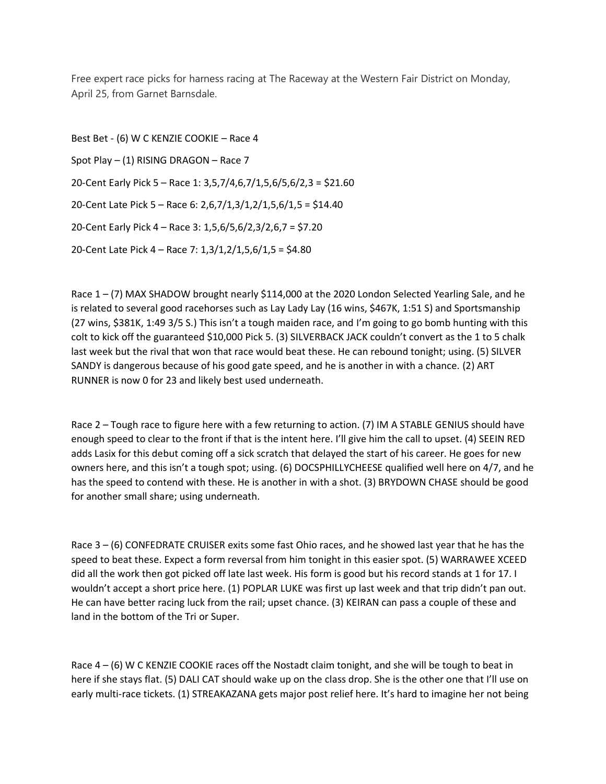Free expert race picks for harness racing at The Raceway at the Western Fair District on Monday, April 25, from Garnet Barnsdale.

Best Bet - (6) W C KENZIE COOKIE – Race 4 Spot Play – (1) RISING DRAGON – Race 7 20-Cent Early Pick 5 – Race 1: 3,5,7/4,6,7/1,5,6/5,6/2,3 = \$21.60 20-Cent Late Pick 5 – Race 6: 2,6,7/1,3/1,2/1,5,6/1,5 = \$14.40 20-Cent Early Pick 4 – Race 3: 1,5,6/5,6/2,3/2,6,7 = \$7.20 20-Cent Late Pick 4 – Race 7: 1,3/1,2/1,5,6/1,5 = \$4.80

Race 1 – (7) MAX SHADOW brought nearly \$114,000 at the 2020 London Selected Yearling Sale, and he is related to several good racehorses such as Lay Lady Lay (16 wins, \$467K, 1:51 S) and Sportsmanship (27 wins, \$381K, 1:49 3/5 S.) This isn't a tough maiden race, and I'm going to go bomb hunting with this colt to kick off the guaranteed \$10,000 Pick 5. (3) SILVERBACK JACK couldn't convert as the 1 to 5 chalk last week but the rival that won that race would beat these. He can rebound tonight; using. (5) SILVER SANDY is dangerous because of his good gate speed, and he is another in with a chance. (2) ART RUNNER is now 0 for 23 and likely best used underneath.

Race 2 – Tough race to figure here with a few returning to action. (7) IM A STABLE GENIUS should have enough speed to clear to the front if that is the intent here. I'll give him the call to upset. (4) SEEIN RED adds Lasix for this debut coming off a sick scratch that delayed the start of his career. He goes for new owners here, and this isn't a tough spot; using. (6) DOCSPHILLYCHEESE qualified well here on 4/7, and he has the speed to contend with these. He is another in with a shot. (3) BRYDOWN CHASE should be good for another small share; using underneath.

Race 3 – (6) CONFEDRATE CRUISER exits some fast Ohio races, and he showed last year that he has the speed to beat these. Expect a form reversal from him tonight in this easier spot. (5) WARRAWEE XCEED did all the work then got picked off late last week. His form is good but his record stands at 1 for 17. I wouldn't accept a short price here. (1) POPLAR LUKE was first up last week and that trip didn't pan out. He can have better racing luck from the rail; upset chance. (3) KEIRAN can pass a couple of these and land in the bottom of the Tri or Super.

Race  $4 - (6)$  W C KENZIE COOKIE races off the Nostadt claim tonight, and she will be tough to beat in here if she stays flat. (5) DALI CAT should wake up on the class drop. She is the other one that I'll use on early multi-race tickets. (1) STREAKAZANA gets major post relief here. It's hard to imagine her not being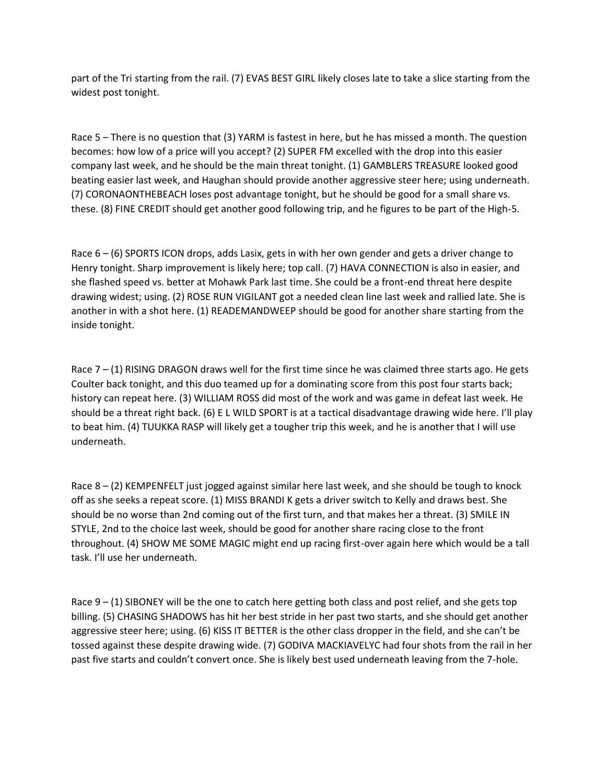part of the Tri starting from the rail. (7) EVAS BEST GIRL likely closes late to take a slice starting from the widest post tonight.

Race 5 – There is no question that (3) YARM is fastest in here, but he has missed a month. The question becomes: how low of a price will you accept? (2) SUPER FM excelled with the drop into this easier company last week, and he should be the main threat tonight. (1) GAMBLERS TREASURE looked good beating easier last week, and Haughan should provide another aggressive steer here; using underneath. (7) CORONAONTHEBEACH loses post advantage tonight, but he should be good for a small share vs. these. (8) FINE CREDIT should get another good following trip, and he figures to be part of the High-5.

Race 6 – (6) SPORTS ICON drops, adds Lasix, gets in with her own gender and gets a driver change to Henry tonight. Sharp improvement is likely here; top call. (7) HAVA CONNECTION is also in easier, and she flashed speed vs. better at Mohawk Park last time. She could be a front-end threat here despite drawing widest; using. (2) ROSE RUN VIGILANT got a needed clean line last week and rallied late. She is another in with a shot here. (1) READEMANDWEEP should be good for another share starting from the inside tonight.

Race  $7 - (1)$  RISING DRAGON draws well for the first time since he was claimed three starts ago. He gets Coulter back tonight, and this duo teamed up for a dominating score from this post four starts back; history can repeat here. (3) WILLIAM ROSS did most of the work and was game in defeat last week. He should be a threat right back. (6) E L WILD SPORT is at a tactical disadvantage drawing wide here. I'll play to beat him. (4) TUUKKA RASP will likely get a tougher trip this week, and he is another that I will use underneath.

Race 8 – (2) KEMPENFELT just jogged against similar here last week, and she should be tough to knock off as she seeks a repeat score. (1) MISS BRANDI K gets a driver switch to Kelly and draws best. She should be no worse than 2nd coming out of the first turn, and that makes her a threat. (3) SMILE IN STYLE, 2nd to the choice last week, should be good for another share racing close to the front throughout. (4) SHOW ME SOME MAGIC might end up racing first-over again here which would be a tall task. I'll use her underneath.

Race  $9 - (1)$  SIBONEY will be the one to catch here getting both class and post relief, and she gets top billing. (5) CHASING SHADOWS has hit her best stride in her past two starts, and she should get another aggressive steer here; using. (6) KISS IT BETTER is the other class dropper in the field, and she can't be tossed against these despite drawing wide. (7) GODIVA MACKIAVELYC had four shots from the rail in her past five starts and couldn't convert once. She is likely best used underneath leaving from the 7-hole.